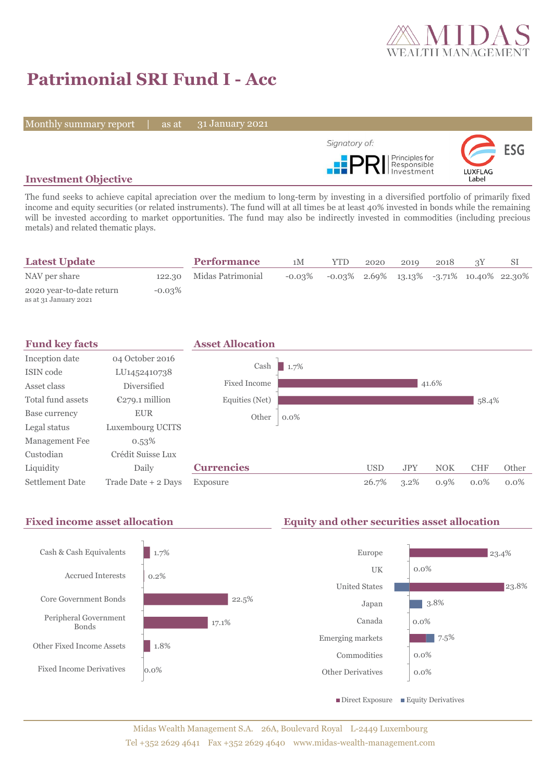

# **Patrimonial SRI Fund I - Acc**

Monthly summary report | as at

31 January 2021



# **Investment Objective**

The fund seeks to achieve capital apreciation over the medium to long-term by investing in a diversified portfolio of primarily fixed income and equity securities (or related instruments). The fund will at all times be at least 40% invested in bonds while the remaining will be invested according to market opportunities. The fund may also be indirectly invested in commodities (including precious metals) and related thematic plays.

| <b>Latest Update</b>                              |           | <b>Performance</b>       | 1M        | <b>YTD</b> | 2020 | 2019                                           | 2018 |  |
|---------------------------------------------------|-----------|--------------------------|-----------|------------|------|------------------------------------------------|------|--|
| NAV per share                                     |           | 122.30 Midas Patrimonial | $-0.03\%$ |            |      | $-0.03\%$ 2.69% 13.13% $-3.71\%$ 10.40% 22.30% |      |  |
| 2020 year-to-date return<br>as at 31 January 2021 | $-0.03\%$ |                          |           |            |      |                                                |      |  |





Midas Wealth Management S.A. 26A, Boulevard Royal L-2449 Luxembourg Tel +352 2629 4641 Fax +352 2629 4640 www.midas-wealth-management.com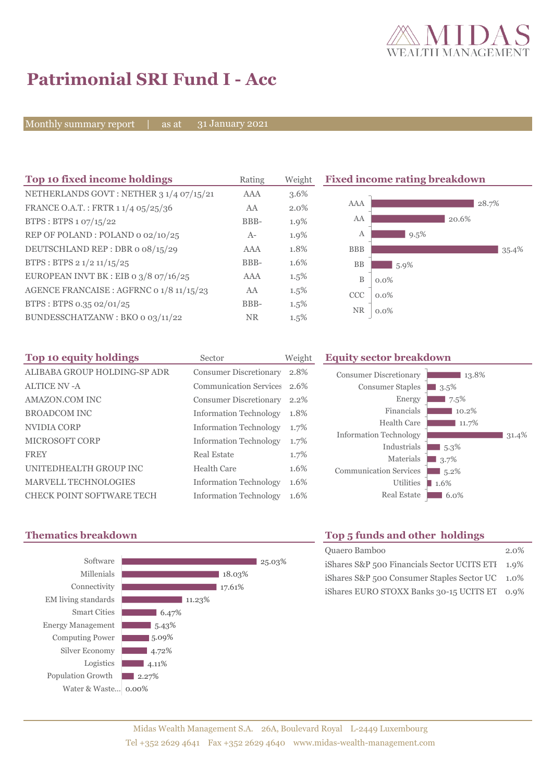

# **Patrimonial SRI Fund I - Acc**

Monthly summary report | as at

31 January 2021

| Top 10 fixed income holdings                       | Rating    | Weight  |            | <b>Fixed income rating breakdown</b> |       |
|----------------------------------------------------|-----------|---------|------------|--------------------------------------|-------|
| NETHERLANDS GOVT: NETHER 3 1/4 07/15/21            | AAA       | 3.6%    |            |                                      |       |
| FRANCE O.A.T.: FRTR 1 1/4 05/25/36                 | AA        | 2.0%    | AAA        |                                      | 28.7% |
| BTPS : BTPS $1.07/15/22$                           | BBB-      | 1.9%    | AA         |                                      | 20.6% |
| REP OF POLAND: POLAND 0 02/10/25                   | $A-$      | 1.9%    | А          | 9.5%                                 |       |
| DEUTSCHLAND REP: DBR o 08/15/29                    | AAA       | 1.8%    | <b>BBB</b> |                                      | 35.4% |
| BTPS : BTPS $2 \frac{1}{2} \frac{11}{15} \cdot 25$ | BBB-      | 1.6%    | <b>BB</b>  | $5.9\%$                              |       |
| EUROPEAN INVT BK : EIB o $3/8$ o7/16/25            | AAA       | $1.5\%$ | B          | $0.0\%$                              |       |
| AGENCE FRANCAISE : AGFRNC 0 1/8 11/15/23           | AA        | $1.5\%$ | CCC        | $0.0\%$                              |       |
| BTPS: BTPS 0.35 02/01/25                           | BBB-      | $1.5\%$ |            |                                      |       |
| BUNDESSCHATZANW: BKO 0 03/11/22                    | <b>NR</b> | 1.5%    | <b>NR</b>  | $0.0\%$                              |       |

| Top 10 equity holdings           | Sector                        | Weight |
|----------------------------------|-------------------------------|--------|
| ALIBABA GROUP HOLDING-SP ADR     | <b>Consumer Discretionary</b> | 2.8%   |
| <b>ALTICE NV -A</b>              | <b>Communication Services</b> | 2.6%   |
| AMAZON.COM INC                   | <b>Consumer Discretionary</b> | 2.2%   |
| <b>BROADCOM INC</b>              | <b>Information Technology</b> | 1.8%   |
| NVIDIA CORP                      | <b>Information Technology</b> | 1.7%   |
| <b>MICROSOFT CORP</b>            | <b>Information Technology</b> | 1.7%   |
| <b>FREY</b>                      | Real Estate                   | 1.7%   |
| UNITEDHEALTH GROUP INC           | Health Care                   | 1.6%   |
| <b>MARVELL TECHNOLOGIES</b>      | <b>Information Technology</b> | 1.6%   |
| <b>CHECK POINT SOFTWARE TECH</b> | <b>Information Technology</b> | 1.6%   |

### **Equity sector breakdown**





# **Thematics breakdown Top 5 funds and other holdings**

| Quaero Bamboo                                    | $2.0\%$ |
|--------------------------------------------------|---------|
| iShares S&P 500 Financials Sector UCITS ETI 1.9% |         |
| iShares S&P 500 Consumer Staples Sector UC 1.0%  |         |
| iShares EURO STOXX Banks 30-15 UCITS ET 0.9%     |         |